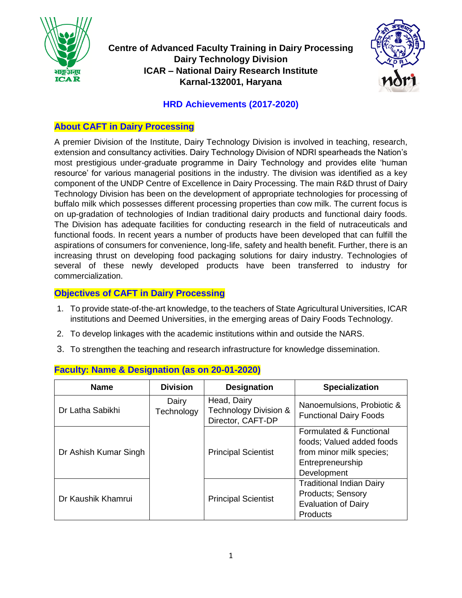

**Centre of Advanced Faculty Training in Dairy Processing Dairy Technology Division ICAR – National Dairy Research Institute Karnal-132001, Haryana**



## **HRD Achievements (2017-2020)**

# **About CAFT in Dairy Processing**

A premier Division of the Institute, Dairy Technology Division is involved in teaching, research, extension and consultancy activities. Dairy Technology Division of NDRI spearheads the Nation's most prestigious under-graduate programme in Dairy Technology and provides elite 'human resource' for various managerial positions in the industry. The division was identified as a key component of the UNDP Centre of Excellence in Dairy Processing. The main R&D thrust of Dairy Technology Division has been on the development of appropriate technologies for processing of buffalo milk which possesses different processing properties than cow milk. The current focus is on up-gradation of technologies of Indian traditional dairy products and functional dairy foods. The Division has adequate facilities for conducting research in the field of nutraceuticals and functional foods. In recent years a number of products have been developed that can fulfill the aspirations of consumers for convenience, long-life, safety and health benefit. Further, there is an increasing thrust on developing food packaging solutions for dairy industry. Technologies of several of these newly developed products have been transferred to industry for commercialization.

## **Objectives of CAFT in Dairy Processing**

- 1. To provide state-of-the-art knowledge, to the teachers of State Agricultural Universities, ICAR institutions and Deemed Universities, in the emerging areas of Dairy Foods Technology.
- 2. To develop linkages with the academic institutions within and outside the NARS.
- 3. To strengthen the teaching and research infrastructure for knowledge dissemination.

| <b>Name</b>           | <b>Division</b>     | <b>Designation</b>                                        | <b>Specialization</b>                                                                                               |
|-----------------------|---------------------|-----------------------------------------------------------|---------------------------------------------------------------------------------------------------------------------|
| Dr Latha Sabikhi      | Dairy<br>Technology | Head, Dairy<br>Technology Division &<br>Director, CAFT-DP | Nanoemulsions, Probiotic &<br><b>Functional Dairy Foods</b>                                                         |
| Dr Ashish Kumar Singh |                     | <b>Principal Scientist</b>                                | Formulated & Functional<br>foods; Valued added foods<br>from minor milk species;<br>Entrepreneurship<br>Development |
| Dr Kaushik Khamrui    |                     | <b>Principal Scientist</b>                                | <b>Traditional Indian Dairy</b><br><b>Products; Sensory</b><br><b>Evaluation of Dairy</b><br><b>Products</b>        |

#### **Faculty: Name & Designation (as on 20-01-2020)**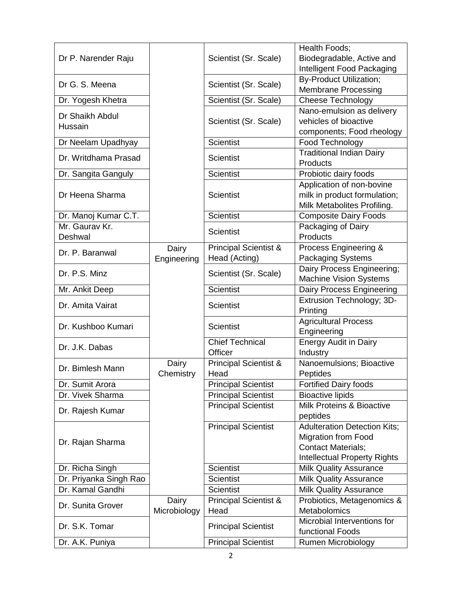| Dr P. Narender Raju    |              | Scientist (Sr. Scale)            | Health Foods;<br>Biodegradable, Active and |  |
|------------------------|--------------|----------------------------------|--------------------------------------------|--|
|                        |              |                                  | Intelligent Food Packaging                 |  |
|                        |              |                                  | <b>By-Product Utilization;</b>             |  |
| Dr G. S. Meena         |              | Scientist (Sr. Scale)            | <b>Membrane Processing</b>                 |  |
| Dr. Yogesh Khetra      |              | Scientist (Sr. Scale)            | <b>Cheese Technology</b>                   |  |
|                        |              |                                  | Nano-emulsion as delivery                  |  |
| Dr Shaikh Abdul        |              | Scientist (Sr. Scale)            | vehicles of bioactive                      |  |
| Hussain                |              |                                  | components; Food rheology                  |  |
| Dr Neelam Upadhyay     |              | <b>Scientist</b>                 | Food Technology                            |  |
|                        |              |                                  | <b>Traditional Indian Dairy</b>            |  |
| Dr. Writdhama Prasad   |              | <b>Scientist</b>                 | Products                                   |  |
| Dr. Sangita Ganguly    |              | <b>Scientist</b>                 | Probiotic dairy foods                      |  |
|                        |              |                                  | Application of non-bovine                  |  |
| Dr Heena Sharma        |              | <b>Scientist</b>                 | milk in product formulation;               |  |
|                        |              |                                  | Milk Metabolites Profiling.                |  |
| Dr. Manoj Kumar C.T.   |              | <b>Scientist</b>                 | <b>Composite Dairy Foods</b>               |  |
| Mr. Gaurav Kr.         |              |                                  | Packaging of Dairy                         |  |
| Deshwal                |              | <b>Scientist</b>                 | Products                                   |  |
|                        | Dairy        | <b>Principal Scientist &amp;</b> | Process Engineering &                      |  |
| Dr. P. Baranwal        | Engineering  | Head (Acting)                    | <b>Packaging Systems</b>                   |  |
|                        |              |                                  | Dairy Process Engineering;                 |  |
| Dr. P.S. Minz          |              | Scientist (Sr. Scale)            | <b>Machine Vision Systems</b>              |  |
| Mr. Ankit Deep         |              | <b>Scientist</b>                 | Dairy Process Engineering                  |  |
|                        |              |                                  | Extrusion Technology; 3D-                  |  |
| Dr. Amita Vairat       |              | <b>Scientist</b>                 | Printing                                   |  |
|                        |              |                                  | <b>Agricultural Process</b>                |  |
| Dr. Kushboo Kumari     |              | <b>Scientist</b>                 | Engineering                                |  |
| Dr. J.K. Dabas         |              | <b>Chief Technical</b>           | <b>Energy Audit in Dairy</b>               |  |
|                        |              | Officer                          | Industry                                   |  |
| Dr. Bimlesh Mann       | Dairy        | <b>Principal Scientist &amp;</b> | Nanoemulsions; Bioactive                   |  |
|                        | Chemistry    | Head                             | Peptides                                   |  |
| Dr. Sumit Arora        |              | <b>Principal Scientist</b>       | <b>Fortified Dairy foods</b>               |  |
| Dr. Vivek Sharma       |              | <b>Principal Scientist</b>       | <b>Bioactive lipids</b>                    |  |
|                        |              | <b>Principal Scientist</b>       | Milk Proteins & Bioactive                  |  |
| Dr. Rajesh Kumar       |              |                                  | peptides                                   |  |
|                        |              | <b>Principal Scientist</b>       | <b>Adulteration Detection Kits;</b>        |  |
|                        |              |                                  | <b>Migration from Food</b>                 |  |
| Dr. Rajan Sharma       |              |                                  | <b>Contact Materials;</b>                  |  |
|                        |              |                                  | <b>Intellectual Property Rights</b>        |  |
| Dr. Richa Singh        |              | <b>Scientist</b>                 | <b>Milk Quality Assurance</b>              |  |
| Dr. Priyanka Singh Rao |              | <b>Scientist</b>                 | <b>Milk Quality Assurance</b>              |  |
| Dr. Kamal Gandhi       |              | <b>Scientist</b>                 | <b>Milk Quality Assurance</b>              |  |
|                        | Dairy        | <b>Principal Scientist &amp;</b> | Probiotics, Metagenomics &                 |  |
| Dr. Sunita Grover      | Microbiology | Head                             | Metabolomics                               |  |
| Dr. S.K. Tomar         |              |                                  | Microbial Interventions for                |  |
|                        |              | <b>Principal Scientist</b>       | functional Foods                           |  |
| Dr. A.K. Puniya        |              | <b>Principal Scientist</b>       | Rumen Microbiology                         |  |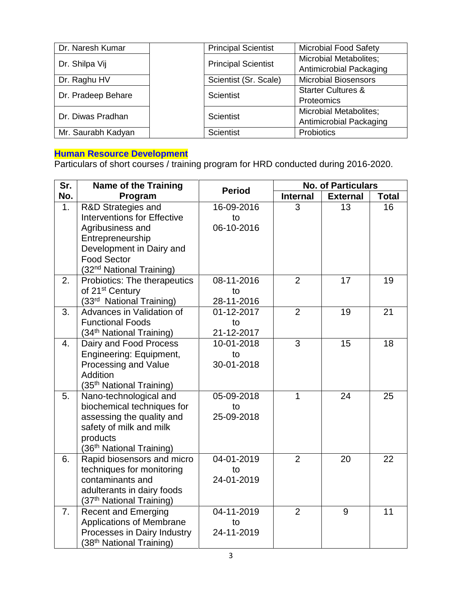| Dr. Naresh Kumar   | <b>Principal Scientist</b> | <b>Microbial Food Safety</b>  |
|--------------------|----------------------------|-------------------------------|
| Dr. Shilpa Vij     | <b>Principal Scientist</b> | <b>Microbial Metabolites;</b> |
|                    |                            | Antimicrobial Packaging       |
| Dr. Raghu HV       | Scientist (Sr. Scale)      | <b>Microbial Biosensors</b>   |
|                    | Scientist                  | <b>Starter Cultures &amp;</b> |
| Dr. Pradeep Behare |                            | Proteomics                    |
| Dr. Diwas Pradhan  | Scientist                  | <b>Microbial Metabolites;</b> |
|                    |                            | Antimicrobial Packaging       |
| Mr. Saurabh Kadyan | <b>Scientist</b>           | Probiotics                    |

#### **Human Resource Development**

Particulars of short courses / training program for HRD conducted during 2016-2020.

| Sr.            | <b>Name of the Training</b>          | <b>Period</b> |                 | <b>No. of Particulars</b> |              |
|----------------|--------------------------------------|---------------|-----------------|---------------------------|--------------|
| No.            | Program                              |               | <b>Internal</b> | <b>External</b>           | <b>Total</b> |
| 1 <sub>1</sub> | R&D Strategies and                   | 16-09-2016    | 3               | 13                        | 16           |
|                | <b>Interventions for Effective</b>   | to            |                 |                           |              |
|                | Agribusiness and                     | 06-10-2016    |                 |                           |              |
|                | Entrepreneurship                     |               |                 |                           |              |
|                | Development in Dairy and             |               |                 |                           |              |
|                | <b>Food Sector</b>                   |               |                 |                           |              |
|                | (32 <sup>nd</sup> National Training) |               |                 |                           |              |
| 2.             | Probiotics: The therapeutics         | 08-11-2016    | $\overline{2}$  | 17                        | 19           |
|                | of 21 <sup>st</sup> Century          | to            |                 |                           |              |
|                | (33 <sup>rd</sup> National Training) | 28-11-2016    |                 |                           |              |
| 3.             | Advances in Validation of            | 01-12-2017    | $\overline{2}$  | 19                        | 21           |
|                | <b>Functional Foods</b>              | to            |                 |                           |              |
|                | (34 <sup>th</sup> National Training) | 21-12-2017    |                 |                           |              |
| 4.             | Dairy and Food Process               | 10-01-2018    | 3               | 15                        | 18           |
|                | Engineering: Equipment,              | to            |                 |                           |              |
|                | Processing and Value                 | 30-01-2018    |                 |                           |              |
|                | Addition                             |               |                 |                           |              |
|                | (35 <sup>th</sup> National Training) |               |                 |                           |              |
| 5.             | Nano-technological and               | 05-09-2018    | 1               | 24                        | 25           |
|                | biochemical techniques for           | to            |                 |                           |              |
|                | assessing the quality and            | 25-09-2018    |                 |                           |              |
|                | safety of milk and milk              |               |                 |                           |              |
|                | products                             |               |                 |                           |              |
|                | (36 <sup>th</sup> National Training) |               |                 |                           |              |
| 6.             | Rapid biosensors and micro           | 04-01-2019    | $\overline{2}$  | 20                        | 22           |
|                | techniques for monitoring            | to            |                 |                           |              |
|                | contaminants and                     | 24-01-2019    |                 |                           |              |
|                | adulterants in dairy foods           |               |                 |                           |              |
|                | (37 <sup>th</sup> National Training) |               |                 |                           |              |
| 7.             | <b>Recent and Emerging</b>           | 04-11-2019    | 2               | 9                         | 11           |
|                | <b>Applications of Membrane</b>      | to            |                 |                           |              |
|                | Processes in Dairy Industry          | 24-11-2019    |                 |                           |              |
|                | (38 <sup>th</sup> National Training) |               |                 |                           |              |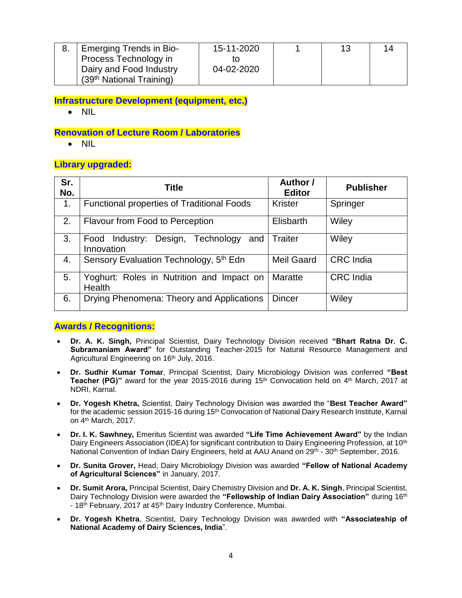| <b>Emerging Trends in Bio-</b>       | 15-11-2020 | 13 | 14 |
|--------------------------------------|------------|----|----|
| Process Technology in                |            |    |    |
| Dairy and Food Industry              | 04-02-2020 |    |    |
| (39 <sup>th</sup> National Training) |            |    |    |

**Infrastructure Development (equipment, etc.)**

NIL

**Renovation of Lecture Room / Laboratories**

 $\bullet$  NIL

#### **Library upgraded:**

| Sr.<br>No. | <b>Title</b>                                                    | Author /<br><b>Editor</b> | <b>Publisher</b> |
|------------|-----------------------------------------------------------------|---------------------------|------------------|
| 1.         | <b>Functional properties of Traditional Foods</b>               | <b>Krister</b>            | Springer         |
| 2.         | Flavour from Food to Perception                                 | Elisbarth                 | Wiley            |
| 3.         | Technology<br>Design,<br>Industry:<br>and<br>Food<br>Innovation | Traiter                   | Wiley            |
| 4.         | Sensory Evaluation Technology, 5 <sup>th</sup> Edn              | <b>Meil Gaard</b>         | <b>CRC</b> India |
| 5.         | Yoghurt: Roles in Nutrition and Impact on<br>Health             | Maratte                   | <b>CRC</b> India |
| 6.         | Drying Phenomena: Theory and Applications                       | <b>Dincer</b>             | Wiley            |

#### **Awards / Recognitions:**

- **Dr. A. K. Singh,** Principal Scientist, Dairy Technology Division received **"Bhart Ratna Dr. C. Subramaniam Award"** for Outstanding Teacher-2015 for Natural Resource Management and Agricultural Engineering on 16th July, 2016.
- **Dr. Sudhir Kumar Tomar**, Principal Scientist, Dairy Microbiology Division was conferred **"Best Teacher (PG)**" award for the year 2015-2016 during 15<sup>th</sup> Convocation held on 4<sup>th</sup> March, 2017 at NDRI, Karnal.
- **Dr. Yogesh Khetra,** Scientist, Dairy Technology Division was awarded the "**Best Teacher Award"** for the academic session 2015-16 during 15<sup>th</sup> Convocation of National Dairy Research Institute, Karnal on 4th March, 2017.
- **Dr. I. K. Sawhney,** Emeritus Scientist was awarded **"Life Time Achievement Award"** by the Indian Dairy Engineers Association (IDEA) for significant contribution to Dairy Engineering Profession, at 10<sup>th</sup> National Convention of Indian Dairy Engineers, held at AAU Anand on 29th - 30th September, 2016.
- **Dr. Sunita Grover,** Head, Dairy Microbiology Division was awarded **"Fellow of National Academy of Agricultural Sciences"** in January, 2017.
- **Dr. Sumit Arora,** Principal Scientist, Dairy Chemistry Division and **Dr. A. K. Singh**, Principal Scientist, Dairy Technology Division were awarded the **"Fellowship of Indian Dairy Association"** during 16th - 18<sup>th</sup> February, 2017 at 45<sup>th</sup> Dairy Industry Conference, Mumbai.
- **Dr. Yogesh Khetra**, Scientist, Dairy Technology Division was awarded with **"Associateship of National Academy of Dairy Sciences, India**".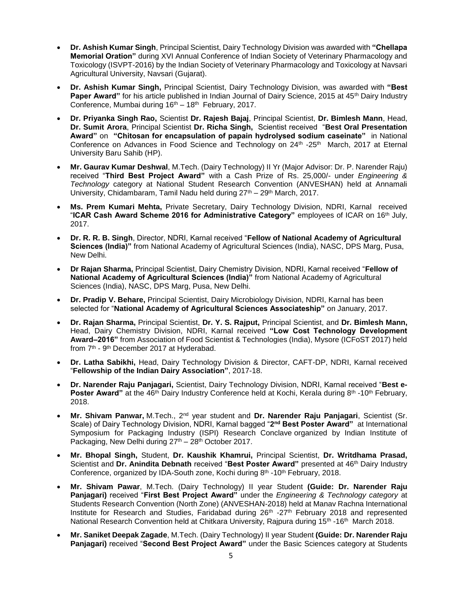- **Dr. Ashish Kumar Singh**, Principal Scientist, Dairy Technology Division was awarded with **"Chellapa Memorial Oration"** during XVI Annual Conference of Indian Society of Veterinary Pharmacology and Toxicology (ISVPT-2016) by the Indian Society of Veterinary Pharmacology and Toxicology at Navsari Agricultural University, Navsari (Gujarat).
- **Dr. Ashish Kumar Singh,** Principal Scientist, Dairy Technology Division, was awarded with **"Best**  Paper Award" for his article published in Indian Journal of Dairy Science, 2015 at 45<sup>th</sup> Dairy Industry Conference, Mumbai during  $16<sup>th</sup> - 18<sup>th</sup>$  February, 2017.
- **Dr. Priyanka Singh Rao,** Scientist **Dr. Rajesh Bajaj**, Principal Scientist, **Dr. Bimlesh Mann**, Head, **Dr. Sumit Arora**, Principal Scientist **Dr. Richa Singh,** Scientist received "**Best Oral Presentation Award"** on **"Chitosan for encapsulation of papain hydrolysed sodium caseinate"** in National Conference on Advances in Food Science and Technology on 24<sup>th</sup> -25<sup>th</sup> March, 2017 at Eternal University Baru Sahib (HP).
- **Mr. Gaurav Kumar Deshwal**, M.Tech. (Dairy Technology) II Yr (Major Advisor: Dr. P. Narender Raju) received "**Third Best Project Award"** with a Cash Prize of Rs. 25,000/- under *Engineering & Technology* category at National Student Research Convention (ANVESHAN) held at Annamali University, Chidambaram, Tamil Nadu held during 27<sup>th</sup> – 29<sup>th</sup> March, 2017.
- **Ms. Prem Kumari Mehta,** Private Secretary, Dairy Technology Division, NDRI, Karnal received "**ICAR Cash Award Scheme 2016 for Administrative Category"** employees of ICAR on 16th July, 2017.
- **Dr. R. R. B. Singh**, Director, NDRI, Karnal received "**Fellow of National Academy of Agricultural Sciences (India)"** from National Academy of Agricultural Sciences (India), NASC, DPS Marg, Pusa, New Delhi.
- **Dr Rajan Sharma,** Principal Scientist, Dairy Chemistry Division, NDRI, Karnal received "**Fellow of National Academy of Agricultural Sciences (India)"** from National Academy of Agricultural Sciences (India), NASC, DPS Marg, Pusa, New Delhi.
- **Dr. Pradip V. Behare,** Principal Scientist, Dairy Microbiology Division, NDRI, Karnal has been selected for "**National Academy of Agricultural Sciences Associateship"** on January, 2017.
- **Dr. Rajan Sharma,** Principal Scientist, **Dr. Y. S. Rajput,** Principal Scientist, and **Dr. Bimlesh Mann,**  Head, Dairy Chemistry Division, NDRI, Karnal received **"Low Cost Technology Development Award–2016"** from Association of Food Scientist & Technologies (India), Mysore (ICFoST 2017) held from 7<sup>th</sup> - 9<sup>th</sup> December 2017 at Hyderabad.
- **Dr. Latha Sabikhi,** Head, Dairy Technology Division & Director, CAFT-DP, NDRI, Karnal received "**Fellowship of the Indian Dairy Association"**, 2017-18.
- **Dr. Narender Raju Panjagari,** Scientist, Dairy Technology Division, NDRI, Karnal received "**Best e-Poster Award"** at the 46<sup>th</sup> Dairy Industry Conference held at Kochi, Kerala during 8<sup>th</sup> -10<sup>th</sup> February, 2018.
- **Mr. Shivam Panwar,** M.Tech., 2nd year student and **Dr. Narender Raju Panjagari**, Scientist (Sr. Scale) of Dairy Technology Division, NDRI, Karnal bagged "**2 nd Best Poster Award"** at International Symposium for Packaging Industry (ISPI) Research Conclave organized by Indian Institute of Packaging, New Delhi during 27<sup>th</sup> – 28<sup>th</sup> October 2017.
- **Mr. Bhopal Singh,** Student, **Dr. Kaushik Khamrui,** Principal Scientist, **Dr. Writdhama Prasad,**  Scientist and **Dr. Anindita Debnath** received "**Best Poster Award"** presented at 46th Dairy Industry Conference, organized by IDA-South zone, Kochi during 8<sup>th</sup> -10<sup>th</sup> February, 2018.
- **Mr. Shivam Pawar**, M.Tech. (Dairy Technology) II year Student **(Guide: Dr. Narender Raju Panjagari)** received "**First Best Project Award"** under the *Engineering & Technology category* at Students Research Convention (North Zone) (ANVESHAN-2018) held at Manav Rachna International Institute for Research and Studies, Faridabad during  $26<sup>th</sup>$  -27<sup>th</sup> February 2018 and represented National Research Convention held at Chitkara University, Rajpura during 15<sup>th</sup> -16<sup>th</sup> March 2018.
- **Mr. Saniket Deepak Zagade**, M.Tech. (Dairy Technology) II year Student **(Guide: Dr. Narender Raju Panjagari)** received "**Second Best Project Award"** under the Basic Sciences category at Students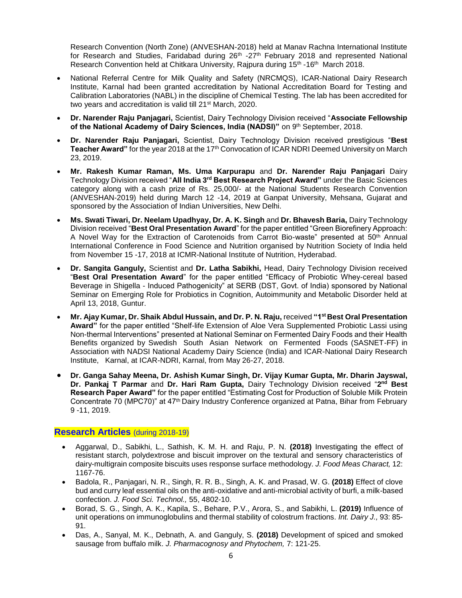Research Convention (North Zone) (ANVESHAN-2018) held at Manav Rachna International Institute for Research and Studies, Faridabad during  $26<sup>th</sup>$  -27<sup>th</sup> February 2018 and represented National Research Convention held at Chitkara University, Rajpura during 15<sup>th</sup> -16<sup>th</sup> March 2018.

- National Referral Centre for Milk Quality and Safety (NRCMQS), ICAR-National Dairy Research Institute, Karnal had been granted accreditation by National Accreditation Board for Testing and Calibration Laboratories (NABL) in the discipline of Chemical Testing. The lab has been accredited for two years and accreditation is valid till 21st March, 2020.
- **Dr. Narender Raju Panjagari,** Scientist, Dairy Technology Division received "**Associate Fellowship**  of the National Academy of Dairy Sciences, India (NADSI)" on 9th September, 2018.
- **Dr. Narender Raju Panjagari,** Scientist, Dairy Technology Division received prestigious "**Best**  Teacher Award" for the year 2018 at the 17<sup>th</sup> Convocation of ICAR NDRI Deemed University on March 23, 2019.
- **Mr. Rakesh Kumar Raman, Ms. Uma Karpurapu** and **Dr. Narender Raju Panjagari** Dairy Technology Division received "**All India 3rd Best Research Project Award"** under the Basic Sciences category along with a cash prize of Rs. 25,000/- at the National Students Research Convention (ANVESHAN-2019) held during March 12 -14, 2019 at Ganpat University, Mehsana, Gujarat and sponsored by the Association of Indian Universities, New Delhi.
- **Ms. Swati Tiwari, Dr. Neelam Upadhyay, Dr. A. K. Singh** and **Dr. Bhavesh Baria,** Dairy Technology Division received "**Best Oral Presentation Award**" for the paper entitled "Green Biorefinery Approach: A Novel Way for the Extraction of Carotenoids from Carrot Bio-waste" presented at 50<sup>th</sup> Annual International Conference in Food Science and Nutrition organised by Nutrition Society of India held from November 15 -17, 2018 at ICMR-National Institute of Nutrition, Hyderabad.
- **Dr. Sangita Ganguly,** Scientist and **Dr. Latha Sabikhi,** Head, Dairy Technology Division received "**Best Oral Presentation Award**" for the paper entitled "Efficacy of Probiotic Whey-cereal based Beverage in Shigella - Induced Pathogenicity" at SERB (DST, Govt. of India) sponsored by National Seminar on Emerging Role for Probiotics in Cognition, Autoimmunity and Metabolic Disorder held at April 13, 2018, Guntur.
- **Mr. Ajay Kumar, Dr. Shaik Abdul Hussain, and Dr. P. N. Raju,** received **"1st Best Oral Presentation Award"** for the paper entitled "Shelf-life Extension of Aloe Vera Supplemented Probiotic Lassi using Non-thermal Interventions" presented at National Seminar on Fermented Dairy Foods and their Health Benefits organized by Swedish South Asian Network on Fermented Foods (SASNET-FF) in Association with NADSI National Academy Dairy Science (India) and ICAR-National Dairy Research Institute, Karnal, at ICAR-NDRI, Karnal, from May 26-27, 2018.
- **Dr. Ganga Sahay Meena, Dr. Ashish Kumar Singh, Dr. Vijay Kumar Gupta, Mr. Dharin Jayswal, Dr. Pankaj T Parmar** and **Dr. Hari Ram Gupta,** Dairy Technology Division received "**2 nd Best Research Paper Award"** for the paper entitled "Estimating Cost for Production of Soluble Milk Protein Concentrate 70 (MPC70)" at 47<sup>th</sup> Dairy Industry Conference organized at Patna, Bihar from February 9 -11, 2019.

#### **Research Articles** (during 2018-19)

- Aggarwal, D., Sabikhi, L., Sathish, K. M. H. and Raju, P. N. **(2018)** Investigating the effect of resistant starch, polydextrose and biscuit improver on the textural and sensory characteristics of dairy-multigrain composite biscuits uses response surface methodology. *J. Food Meas Charact,* 12: 1167-76.
- Badola, R., Panjagari, N. R., Singh, R. R. B., Singh, A. K. and Prasad, W. G. **(2018)** Effect of clove bud and curry leaf essential oils on the anti-oxidative and anti-microbial activity of burfi, a milk-based confection. *J. Food Sci. Technol.,* 55, 4802-10.
- Borad, S. G., Singh, A. K., Kapila, S., Behare, P.V., Arora, S., and Sabikhi, L. **(2019)** Influence of unit operations on immunoglobulins and thermal stability of colostrum fractions. *Int. Dairy J.,* 93: 85- 91.
- Das, A., Sanyal, M. K., Debnath, A. and Ganguly, S. **(2018)** Development of spiced and smoked sausage from buffalo milk. *J. Pharmacognosy and Phytochem,* 7: 121-25.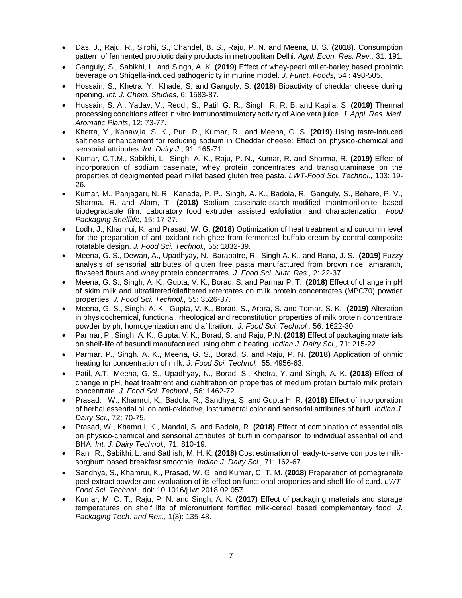- Das, J., Raju, R., Sirohi, S., Chandel, B. S., Raju, P. N. and Meena, B. S. **(2018)**. Consumption pattern of fermented probiotic dairy products in metropolitan Delhi. *Agril. Econ. Res. Rev.,* 31: 191.
- Ganguly, S., Sabikhi, L. and Singh, A. K. **(2019)** Effect of whey-pearl millet-barley based probiotic beverage on Shigella-induced pathogenicity in murine model. *J. Funct. Foods,* 54 : 498-505.
- Hossain, S., Khetra, Y., Khade, S. and Ganguly, S. **(2018)** Bioactivity of cheddar cheese during ripening. *Int. J. Chem. Studies*, 6: 1583-87.
- Hussain, S. A., Yadav, V., Reddi, S., Patil, G. R., Singh, R. R. B. and Kapila, S. **(2019)** Thermal processing conditions affect in vitro immunostimulatory activity of Aloe vera juice. *J. Appl. Res. Med. Aromatic Plants*, 12: 73-77.
- Khetra, Y., Kanawjia, S. K., Puri, R., Kumar, R., and Meena, G. S. **(2019)** Using taste-induced saltiness enhancement for reducing sodium in Cheddar cheese: Effect on physico-chemical and sensorial attributes. *Int. Dairy J.*, 91: 165-71.
- Kumar, C.T.M., Sabikhi, L., Singh, A. K., Raju, P. N., Kumar, R. and Sharma, R. **(2019)** Effect of incorporation of sodium caseinate, whey protein concentrates and transglutaminase on the properties of depigmented pearl millet based gluten free pasta. *LWT-Food Sci. Technol.,* 103: 19- 26.
- Kumar, M., Panjagari, N. R., Kanade, P. P., Singh, A. K., Badola, R., Ganguly, S., Behare, P. V., Sharma, R. and Alam, T. **(2018)** Sodium caseinate-starch-modified montmorillonite based biodegradable film: Laboratory food extruder assisted exfoliation and characterization. *Food Packaging Shelflife,* 15: 17-27.
- Lodh, J., Khamrui, K. and Prasad, W. G. **(2018)** Optimization of heat treatment and curcumin level for the preparation of anti-oxidant rich ghee from fermented buffalo cream by central composite rotatable design. *J. Food Sci. Technol.,* 55: 1832-39.
- Meena, G. S., Dewan, A., Upadhyay, N., Barapatre, R., Singh A. K., and Rana, J. S. **(2019)** Fuzzy analysis of sensorial attributes of gluten free pasta manufactured from brown rice, amaranth, flaxseed flours and whey protein concentrates. *J. Food Sci. Nutr. Res.,* 2: 22-37.
- Meena, G. S., Singh, A. K., Gupta, V. K., Borad, S. and Parmar P. T. **(2018)** Effect of change in pH of skim milk and ultrafiltered/diafiltered retentates on milk protein concentrates (MPC70) powder properties, *J. Food Sci. Technol.,* 55: 3526-37.
- Meena, G. S., Singh, A. K., Gupta, V. K., Borad, S., Arora, S. and Tomar, S. K. **(2019)** Alteration in physicochemical, functional, rheological and reconstitution properties of milk protein concentrate powder by ph, homogenization and diafiltration. *J. Food Sci. Technol.,* 56: 1622-30.
- Parmar, P., Singh, A. K., Gupta, V. K., Borad, S. and Raju, P.N. **(2018)** Effect of packaging materials on shelf-life of basundi manufactured using ohmic heating. *Indian J. Dairy Sci.,* 71: 215-22.
- Parmar. P., Singh. A. K., Meena, G. S., Borad, S. and Raju, P. N. **(2018)** Application of ohmic heating for concentration of milk. *J. Food Sci. Technol.,* 55: 4956-63.
- Patil, A.T., Meena, G. S., Upadhyay, N., Borad, S., Khetra, Y. and Singh, A. K. **(2018)** Effect of change in pH, heat treatment and diafiltration on properties of medium protein buffalo milk protein concentrate. *J. Food Sci. Technol.,* 56: 1462-72.
- Prasad, W., Khamrui, K., Badola, R., Sandhya, S. and Gupta H. R. **(2018)** Effect of incorporation of herbal essential oil on anti-oxidative, instrumental color and sensorial attributes of burfi. *Indian J. Dairy Sci.,* 72: 70-75.
- Prasad, W., Khamrui, K., Mandal, S. and Badola, R. **(2018)** Effect of combination of essential oils on physico-chemical and sensorial attributes of burfi in comparison to individual essential oil and BHA. *Int. J. Dairy Technol.,* 71: 810-19.
- Rani, R., Sabikhi, L. and Sathish, M. H. K. **(2018)** Cost estimation of ready-to-serve composite milksorghum based breakfast smoothie. *Indian J. Dairy Sci.,* 71: 162-67.
- Sandhya, S., Khamrui, K., Prasad, W. G. and Kumar, C. T. M. **(2018)** Preparation of pomegranate peel extract powder and evaluation of its effect on functional properties and shelf life of curd. *LWT-Food Sci. Technol.,* doi: 10.1016/j.lwt.2018.02.057.
- Kumar, M. C. T., Raju, P. N. and Singh, A. K. **(2017)** Effect of packaging materials and storage temperatures on shelf life of micronutrient fortified milk-cereal based complementary food. *J. Packaging Tech. and Res.*, 1(3): 135-48.